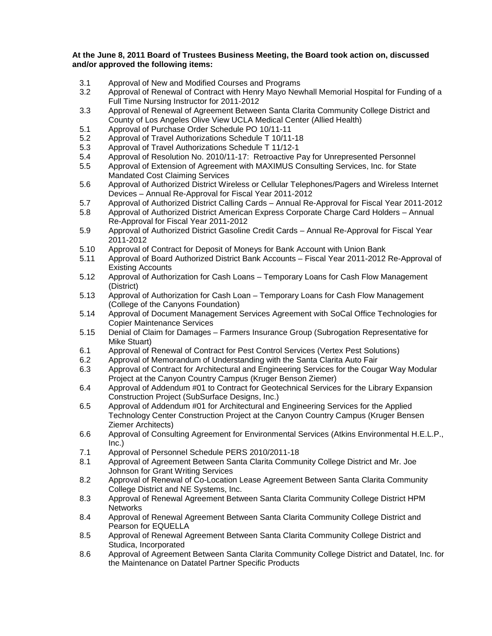## **At the June 8, 2011 Board of Trustees Business Meeting, the Board took action on, discussed and/or approved the following items:**

- 3.1 Approval of New and Modified Courses and Programs
- Approval of Renewal of Contract with Henry Mayo Newhall Memorial Hospital for Funding of a Full Time Nursing Instructor for 2011-2012
- 3.3 Approval of Renewal of Agreement Between Santa Clarita Community College District and County of Los Angeles Olive View UCLA Medical Center (Allied Health)
- 5.1 Approval of Purchase Order Schedule PO 10/11-11
- 5.2 Approval of Travel Authorizations Schedule T 10/11-18
- 5.3 Approval of Travel Authorizations Schedule T 11/12-1
- 5.4 Approval of Resolution No. 2010/11-17: Retroactive Pay for Unrepresented Personnel
- 5.5 Approval of Extension of Agreement with MAXIMUS Consulting Services, Inc. for State Mandated Cost Claiming Services
- 5.6 Approval of Authorized District Wireless or Cellular Telephones/Pagers and Wireless Internet Devices – Annual Re-Approval for Fiscal Year 2011-2012
- 5.7 Approval of Authorized District Calling Cards Annual Re-Approval for Fiscal Year 2011-2012
- 5.8 Approval of Authorized District American Express Corporate Charge Card Holders Annual Re-Approval for Fiscal Year 2011-2012
- 5.9 Approval of Authorized District Gasoline Credit Cards Annual Re-Approval for Fiscal Year 2011-2012
- 5.10 Approval of Contract for Deposit of Moneys for Bank Account with Union Bank
- 5.11 Approval of Board Authorized District Bank Accounts Fiscal Year 2011-2012 Re-Approval of Existing Accounts
- 5.12 Approval of Authorization for Cash Loans Temporary Loans for Cash Flow Management (District)
- 5.13 Approval of Authorization for Cash Loan Temporary Loans for Cash Flow Management (College of the Canyons Foundation)
- 5.14 Approval of Document Management Services Agreement with SoCal Office Technologies for Copier Maintenance Services
- 5.15 Denial of Claim for Damages Farmers Insurance Group (Subrogation Representative for Mike Stuart)
- 6.1 Approval of Renewal of Contract for Pest Control Services (Vertex Pest Solutions)<br>6.2 Approval of Memorandum of Understanding with the Santa Clarita Auto Fair
- 6.2 Approval of Memorandum of Understanding with the Santa Clarita Auto Fair
- 6.3 Approval of Contract for Architectural and Engineering Services for the Cougar Way Modular Project at the Canyon Country Campus (Kruger Benson Ziemer)
- 6.4 Approval of Addendum #01 to Contract for Geotechnical Services for the Library Expansion Construction Project (SubSurface Designs, Inc.)
- 6.5 Approval of Addendum #01 for Architectural and Engineering Services for the Applied Technology Center Construction Project at the Canyon Country Campus (Kruger Bensen Ziemer Architects)
- 6.6 Approval of Consulting Agreement for Environmental Services (Atkins Environmental H.E.L.P.,  $Inc.)$
- 7.1 Approval of Personnel Schedule PERS 2010/2011-18
- 8.1 Approval of Agreement Between Santa Clarita Community College District and Mr. Joe Johnson for Grant Writing Services
- 8.2 Approval of Renewal of Co-Location Lease Agreement Between Santa Clarita Community College District and NE Systems, Inc.
- 8.3 Approval of Renewal Agreement Between Santa Clarita Community College District HPM **Networks**
- 8.4 Approval of Renewal Agreement Between Santa Clarita Community College District and Pearson for EQUELLA
- 8.5 Approval of Renewal Agreement Between Santa Clarita Community College District and Studica, Incorporated
- 8.6 Approval of Agreement Between Santa Clarita Community College District and Datatel, Inc. for the Maintenance on Datatel Partner Specific Products